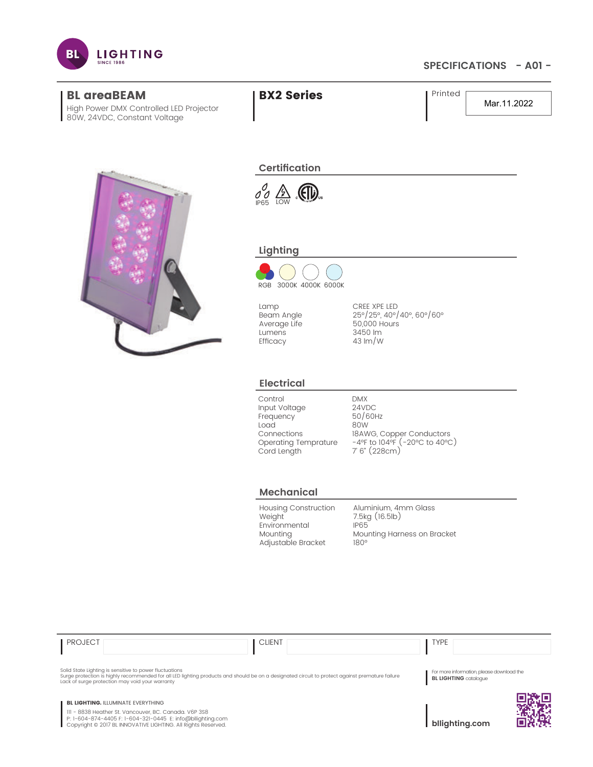

## **SPECIFICATIONS - A01 -**

Mar.11.2022



High Power DMX Controlled LED Projector

80W, 24VDC, Constant Voltage

 $\int_{P65}^{O}$   $\frac{A}{LOW}$ 

**Certification**

BL areaBEAM **BX2 Series** Printed

# **Lighting**



Lamp Beam Angle Average Life Lumens Efficacy

CREE XPE LED 25°/25°, 40°/40°, 60°/60° 50,000 Hours 3450 lm 43 lm/W

#### **Electrical**

Control Input Voltage **Frequency** Load Connections Operating Temprature Cord Length

DMX 24VDC 50/60Hz 80W 18AWG, Copper Conductors -4°F to 104°F (-20°C to 40°C) 7' 6" (228cm)

#### **Mechanical**

Housing Construction Weight Environmental Mounting Adjustable Bracket

Aluminium, 4mm Glass 7.5kg (16.5lb) IP65 Mounting Harness on Bracket 180°

| <b>PROJECT</b> | <b>CLIENT</b> | <b>VDE</b> |
|----------------|---------------|------------|
|----------------|---------------|------------|

Solid State Lighting is sensitive to power fluctuations<br>Surge protection is highly recommended for all LED lighting products and should be on a designated circuit to protect against premature failure<br>Lack of surge protecti

For more information, please download the **BL LIGHTING** catalogue

**BL LIGHTING. ILLUMINATE EVERYTHING** 

111 - 8838 Heather St. Vancouver, BC. Canada. V6P 3S8 P: 1-604-874-4405 F: 1-604-321-0445 E: info@bllighting.com Copyright © 2017 BL INNOVATIVE LIGHTING. All Rights Reserved.